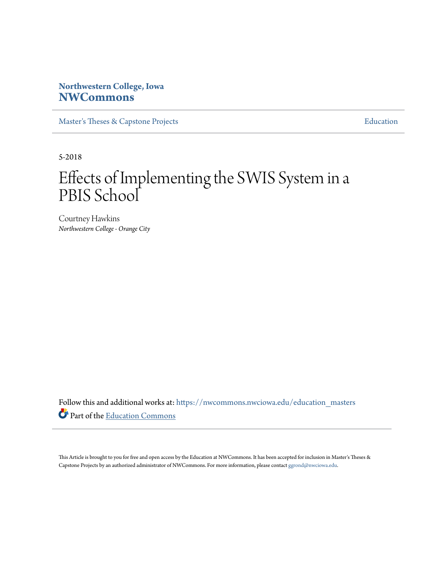# **Northwestern College, Iowa [NWCommons](https://nwcommons.nwciowa.edu?utm_source=nwcommons.nwciowa.edu%2Feducation_masters%2F87&utm_medium=PDF&utm_campaign=PDFCoverPages)**

[Master's Theses & Capstone Projects](https://nwcommons.nwciowa.edu/education_masters?utm_source=nwcommons.nwciowa.edu%2Feducation_masters%2F87&utm_medium=PDF&utm_campaign=PDFCoverPages) **[Education](https://nwcommons.nwciowa.edu/education?utm_source=nwcommons.nwciowa.edu%2Feducation_masters%2F87&utm_medium=PDF&utm_campaign=PDFCoverPages)** 

5-2018

# Effects of Implementing the SWIS System in a PBIS School

Courtney Hawkins *Northwestern College - Orange City*

Follow this and additional works at: [https://nwcommons.nwciowa.edu/education\\_masters](https://nwcommons.nwciowa.edu/education_masters?utm_source=nwcommons.nwciowa.edu%2Feducation_masters%2F87&utm_medium=PDF&utm_campaign=PDFCoverPages) Part of the [Education Commons](http://network.bepress.com/hgg/discipline/784?utm_source=nwcommons.nwciowa.edu%2Feducation_masters%2F87&utm_medium=PDF&utm_campaign=PDFCoverPages)

This Article is brought to you for free and open access by the Education at NWCommons. It has been accepted for inclusion in Master's Theses & Capstone Projects by an authorized administrator of NWCommons. For more information, please contact [ggrond@nwciowa.edu.](mailto:ggrond@nwciowa.edu)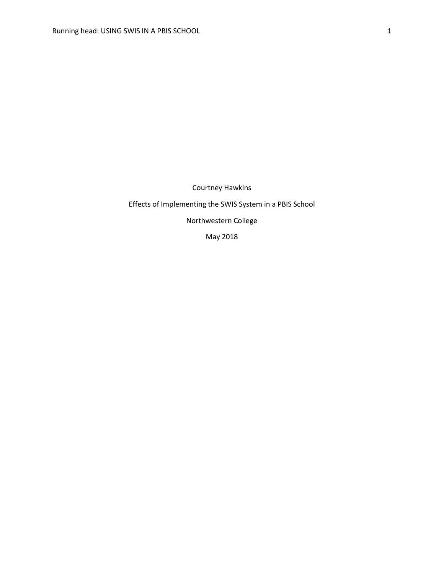Courtney Hawkins

## Effects of Implementing the SWIS System in a PBIS School

Northwestern College

May 2018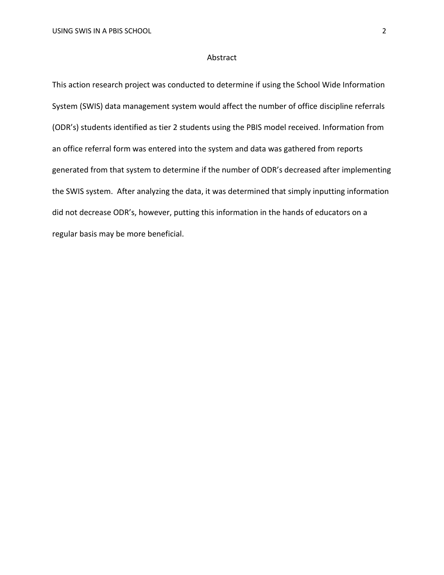#### Abstract

This action research project was conducted to determine if using the School Wide Information System (SWIS) data management system would affect the number of office discipline referrals (ODR's) students identified as tier 2 students using the PBIS model received. Information from an office referral form was entered into the system and data was gathered from reports generated from that system to determine if the number of ODR's decreased after implementing the SWIS system. After analyzing the data, it was determined that simply inputting information did not decrease ODR's, however, putting this information in the hands of educators on a regular basis may be more beneficial.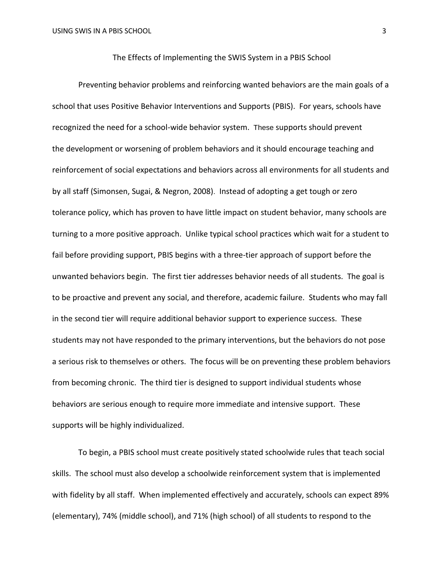#### The Effects of Implementing the SWIS System in a PBIS School

Preventing behavior problems and reinforcing wanted behaviors are the main goals of a school that uses Positive Behavior Interventions and Supports (PBIS). For years, schools have recognized the need for a school-wide behavior system. These supports should prevent the development or worsening of problem behaviors and it should encourage teaching and reinforcement of social expectations and behaviors across all environments for all students and by all staff (Simonsen, Sugai, & Negron, 2008). Instead of adopting a get tough or zero tolerance policy, which has proven to have little impact on student behavior, many schools are turning to a more positive approach. Unlike typical school practices which wait for a student to fail before providing support, PBIS begins with a three-tier approach of support before the unwanted behaviors begin. The first tier addresses behavior needs of all students. The goal is to be proactive and prevent any social, and therefore, academic failure. Students who may fall in the second tier will require additional behavior support to experience success. These students may not have responded to the primary interventions, but the behaviors do not pose a serious risk to themselves or others. The focus will be on preventing these problem behaviors from becoming chronic. The third tier is designed to support individual students whose behaviors are serious enough to require more immediate and intensive support. These supports will be highly individualized.

To begin, a PBIS school must create positively stated schoolwide rules that teach social skills. The school must also develop a schoolwide reinforcement system that is implemented with fidelity by all staff. When implemented effectively and accurately, schools can expect 89% (elementary), 74% (middle school), and 71% (high school) of all students to respond to the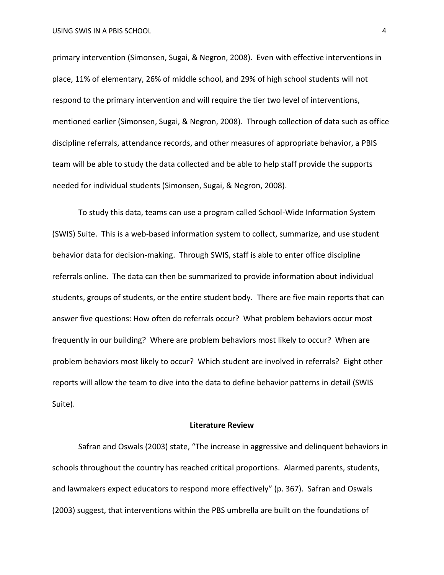primary intervention (Simonsen, Sugai, & Negron, 2008). Even with effective interventions in place, 11% of elementary, 26% of middle school, and 29% of high school students will not respond to the primary intervention and will require the tier two level of interventions, mentioned earlier (Simonsen, Sugai, & Negron, 2008). Through collection of data such as office discipline referrals, attendance records, and other measures of appropriate behavior, a PBIS team will be able to study the data collected and be able to help staff provide the supports needed for individual students (Simonsen, Sugai, & Negron, 2008).

To study this data, teams can use a program called School-Wide Information System (SWIS) Suite. This is a web-based information system to collect, summarize, and use student behavior data for decision-making. Through SWIS, staff is able to enter office discipline referrals online. The data can then be summarized to provide information about individual students, groups of students, or the entire student body. There are five main reports that can answer five questions: How often do referrals occur? What problem behaviors occur most frequently in our building? Where are problem behaviors most likely to occur? When are problem behaviors most likely to occur? Which student are involved in referrals? Eight other reports will allow the team to dive into the data to define behavior patterns in detail (SWIS Suite).

#### **Literature Review**

Safran and Oswals (2003) state, "The increase in aggressive and delinquent behaviors in schools throughout the country has reached critical proportions. Alarmed parents, students, and lawmakers expect educators to respond more effectively" (p. 367). Safran and Oswals (2003) suggest, that interventions within the PBS umbrella are built on the foundations of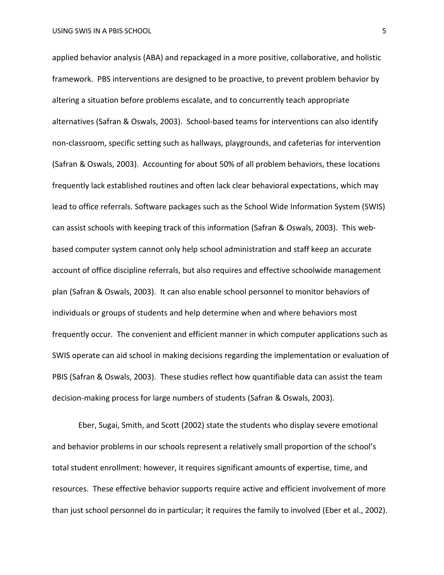applied behavior analysis (ABA) and repackaged in a more positive, collaborative, and holistic framework. PBS interventions are designed to be proactive, to prevent problem behavior by altering a situation before problems escalate, and to concurrently teach appropriate alternatives (Safran & Oswals, 2003). School-based teams for interventions can also identify non-classroom, specific setting such as hallways, playgrounds, and cafeterias for intervention (Safran & Oswals, 2003). Accounting for about 50% of all problem behaviors, these locations frequently lack established routines and often lack clear behavioral expectations, which may lead to office referrals. Software packages such as the School Wide Information System (SWIS) can assist schools with keeping track of this information (Safran & Oswals, 2003). This webbased computer system cannot only help school administration and staff keep an accurate account of office discipline referrals, but also requires and effective schoolwide management plan (Safran & Oswals, 2003). It can also enable school personnel to monitor behaviors of individuals or groups of students and help determine when and where behaviors most frequently occur. The convenient and efficient manner in which computer applications such as SWIS operate can aid school in making decisions regarding the implementation or evaluation of PBIS (Safran & Oswals, 2003). These studies reflect how quantifiable data can assist the team decision-making process for large numbers of students (Safran & Oswals, 2003).

Eber, Sugai, Smith, and Scott (2002) state the students who display severe emotional and behavior problems in our schools represent a relatively small proportion of the school's total student enrollment: however, it requires significant amounts of expertise, time, and resources. These effective behavior supports require active and efficient involvement of more than just school personnel do in particular; it requires the family to involved (Eber et al., 2002).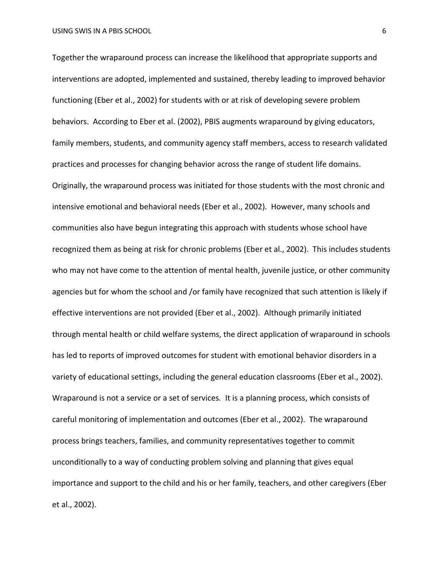Together the wraparound process can increase the likelihood that appropriate supports and interventions are adopted, implemented and sustained, thereby leading to improved behavior functioning (Eber et al., 2002) for students with or at risk of developing severe problem behaviors. According to Eber et al. (2002), PBIS augments wraparound by giving educators, family members, students, and community agency staff members, access to research validated practices and processes for changing behavior across the range of student life domains. Originally, the wraparound process was initiated for those students with the most chronic and intensive emotional and behavioral needs (Eber et al., 2002). However, many schools and communities also have begun integrating this approach with students whose school have recognized them as being at risk for chronic problems (Eber et al., 2002). This includes students who may not have come to the attention of mental health, juvenile justice, or other community agencies but for whom the school and /or family have recognized that such attention is likely if effective interventions are not provided (Eber et al., 2002). Although primarily initiated through mental health or child welfare systems, the direct application of wraparound in schools has led to reports of improved outcomes for student with emotional behavior disorders in a variety of educational settings, including the general education classrooms (Eber et al., 2002). Wraparound is not a service or a set of services. It is a planning process, which consists of careful monitoring of implementation and outcomes (Eber et al., 2002). The wraparound process brings teachers, families, and community representatives together to commit unconditionally to a way of conducting problem solving and planning that gives equal importance and support to the child and his or her family, teachers, and other caregivers (Eber et al., 2002).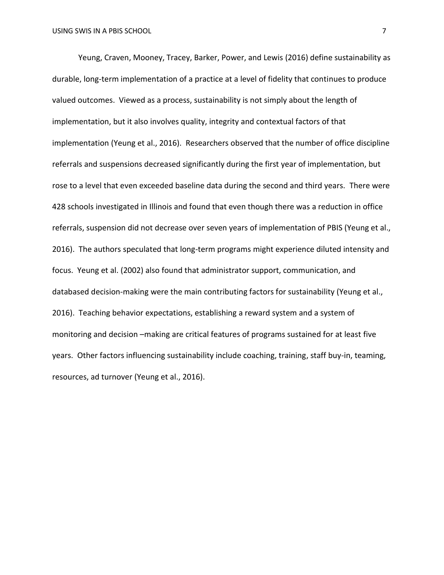Yeung, Craven, Mooney, Tracey, Barker, Power, and Lewis (2016) define sustainability as durable, long-term implementation of a practice at a level of fidelity that continues to produce valued outcomes. Viewed as a process, sustainability is not simply about the length of implementation, but it also involves quality, integrity and contextual factors of that implementation (Yeung et al., 2016). Researchers observed that the number of office discipline referrals and suspensions decreased significantly during the first year of implementation, but rose to a level that even exceeded baseline data during the second and third years. There were 428 schools investigated in Illinois and found that even though there was a reduction in office referrals, suspension did not decrease over seven years of implementation of PBIS (Yeung et al., 2016). The authors speculated that long-term programs might experience diluted intensity and focus. Yeung et al. (2002) also found that administrator support, communication, and databased decision-making were the main contributing factors for sustainability (Yeung et al., 2016). Teaching behavior expectations, establishing a reward system and a system of monitoring and decision –making are critical features of programs sustained for at least five years. Other factors influencing sustainability include coaching, training, staff buy-in, teaming, resources, ad turnover (Yeung et al., 2016).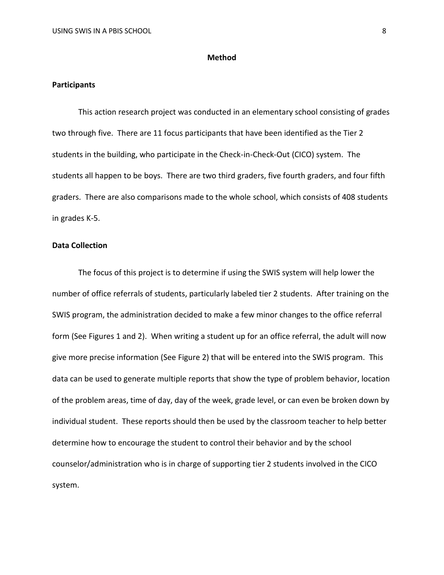#### **Method**

#### **Participants**

This action research project was conducted in an elementary school consisting of grades two through five. There are 11 focus participants that have been identified as the Tier 2 students in the building, who participate in the Check-in-Check-Out (CICO) system. The students all happen to be boys. There are two third graders, five fourth graders, and four fifth graders. There are also comparisons made to the whole school, which consists of 408 students in grades K-5.

#### **Data Collection**

The focus of this project is to determine if using the SWIS system will help lower the number of office referrals of students, particularly labeled tier 2 students. After training on the SWIS program, the administration decided to make a few minor changes to the office referral form (See Figures 1 and 2). When writing a student up for an office referral, the adult will now give more precise information (See Figure 2) that will be entered into the SWIS program. This data can be used to generate multiple reports that show the type of problem behavior, location of the problem areas, time of day, day of the week, grade level, or can even be broken down by individual student. These reports should then be used by the classroom teacher to help better determine how to encourage the student to control their behavior and by the school counselor/administration who is in charge of supporting tier 2 students involved in the CICO system.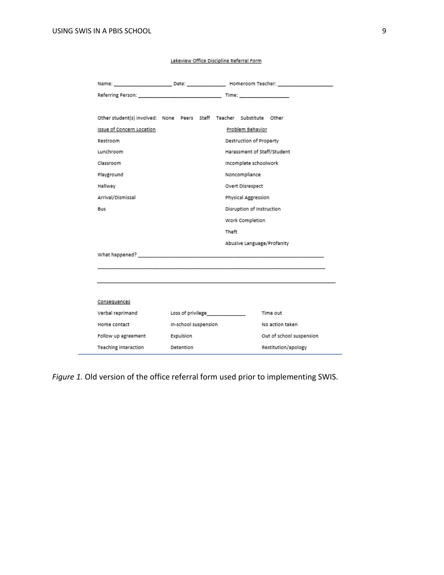| Other student(s) involved: None Peers Staff Teacher Substitute Other                                                                                                                                                           |                                       |                     |                             |  |  |
|--------------------------------------------------------------------------------------------------------------------------------------------------------------------------------------------------------------------------------|---------------------------------------|---------------------|-----------------------------|--|--|
| Issue of Concern Location                                                                                                                                                                                                      |                                       |                     | Problem Behavior            |  |  |
| Restroom                                                                                                                                                                                                                       |                                       |                     | Destruction of Property     |  |  |
| Lunchroom                                                                                                                                                                                                                      |                                       |                     | Harassment of Staff/Student |  |  |
| Classroom                                                                                                                                                                                                                      |                                       |                     | Incomplete schoolwork       |  |  |
| Playground                                                                                                                                                                                                                     |                                       |                     | Noncompliance               |  |  |
| Hallway                                                                                                                                                                                                                        |                                       |                     | Overt Disrespect            |  |  |
| Arrival/Dismissal                                                                                                                                                                                                              |                                       | Physical Aggression |                             |  |  |
| Bus                                                                                                                                                                                                                            |                                       |                     | Disruption of Instruction   |  |  |
|                                                                                                                                                                                                                                |                                       | Work Completion     |                             |  |  |
|                                                                                                                                                                                                                                |                                       | Theft               |                             |  |  |
|                                                                                                                                                                                                                                |                                       |                     | Abusive Language/Profanity  |  |  |
| What happened? The contract of the contract of the contract of the contract of the contract of the contract of the contract of the contract of the contract of the contract of the contract of the contract of the contract of |                                       |                     |                             |  |  |
|                                                                                                                                                                                                                                |                                       |                     |                             |  |  |
|                                                                                                                                                                                                                                |                                       |                     |                             |  |  |
|                                                                                                                                                                                                                                |                                       |                     |                             |  |  |
| Consequences                                                                                                                                                                                                                   |                                       |                     |                             |  |  |
| Verbal reprimand                                                                                                                                                                                                               |                                       | Loss of privilege   | Time out                    |  |  |
| Home contact                                                                                                                                                                                                                   | In-school suspension                  |                     | No action taken             |  |  |
|                                                                                                                                                                                                                                | Expulsion<br>Out of school suspension |                     |                             |  |  |
| Follow up agreement                                                                                                                                                                                                            |                                       |                     |                             |  |  |

Lakeview Office Discipline Referral Form

*Figure 1.* Old version of the office referral form used prior to implementing SWIS.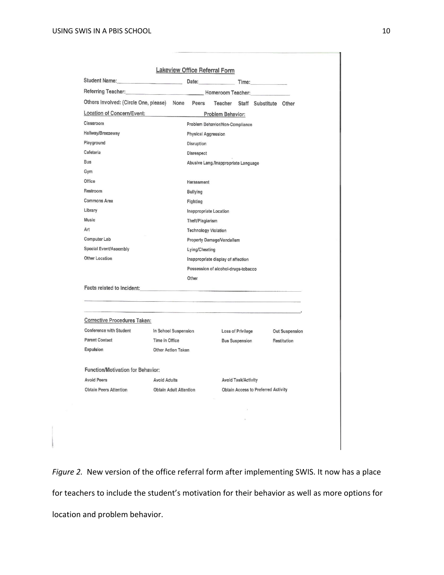|                                                                                                                                                                                                                                | Date: <b>Date:</b>            |                                      |                            |                                            |                       |
|--------------------------------------------------------------------------------------------------------------------------------------------------------------------------------------------------------------------------------|-------------------------------|--------------------------------------|----------------------------|--------------------------------------------|-----------------------|
| Referring Teacher: Manual Momeroom Teacher:                                                                                                                                                                                    |                               |                                      |                            |                                            |                       |
| Others Involved: (Circle One, please) None                                                                                                                                                                                     |                               | Peers<br>Teacher                     |                            | Staff Substitute Other                     |                       |
| Location of Concern/Event:                                                                                                                                                                                                     |                               | Problem Behavior:                    |                            |                                            |                       |
| Classroom                                                                                                                                                                                                                      |                               | Problem Behavior/Non-Compliance      |                            |                                            |                       |
| Hallway/Breezeway                                                                                                                                                                                                              |                               | <b>Physical Aggression</b>           |                            |                                            |                       |
| Playground                                                                                                                                                                                                                     |                               | Disruption                           |                            |                                            |                       |
| Cafeteria                                                                                                                                                                                                                      |                               | <b>Disrespect</b>                    |                            |                                            |                       |
| <b>Bus</b>                                                                                                                                                                                                                     |                               | Abusive Lang./Inappropriate Language |                            |                                            |                       |
| Gym                                                                                                                                                                                                                            |                               |                                      |                            |                                            |                       |
| Office                                                                                                                                                                                                                         |                               | Harassment                           |                            |                                            |                       |
| Restroom                                                                                                                                                                                                                       |                               | <b>Bullying</b>                      |                            |                                            |                       |
| <b>Commons Area</b>                                                                                                                                                                                                            |                               | Fighting                             |                            |                                            |                       |
| Library                                                                                                                                                                                                                        | <b>Inappropriate Location</b> |                                      |                            |                                            |                       |
| Music                                                                                                                                                                                                                          | Theft/Plagiarism              |                                      |                            |                                            |                       |
| Art                                                                                                                                                                                                                            |                               | <b>Technology Violation</b>          |                            |                                            |                       |
| Computer Lab                                                                                                                                                                                                                   |                               | Property Damage/Vandalism            |                            |                                            |                       |
| Special Event/Assembly                                                                                                                                                                                                         |                               | Lying/Cheating                       |                            |                                            |                       |
| Other Location                                                                                                                                                                                                                 |                               | Inappropriate display of affection   |                            |                                            |                       |
|                                                                                                                                                                                                                                |                               | Possession of alcohol-drugs-tobacco  |                            |                                            |                       |
|                                                                                                                                                                                                                                | Other                         |                                      |                            |                                            |                       |
| Facts related to Incident: experience and a series of the contract of the series of the series of the series of the series of the series of the series of the series of the series of the series of the series of the series o |                               |                                      |                            |                                            |                       |
|                                                                                                                                                                                                                                |                               |                                      |                            |                                            |                       |
|                                                                                                                                                                                                                                |                               |                                      |                            |                                            |                       |
|                                                                                                                                                                                                                                |                               |                                      |                            |                                            |                       |
| <b>Corrective Procedures Taken:</b>                                                                                                                                                                                            |                               |                                      |                            |                                            |                       |
| <b>Conference with Student</b>                                                                                                                                                                                                 | In School Suspension          |                                      | Loss of Privilege          |                                            | <b>Out Suspension</b> |
| <b>Parent Contact</b>                                                                                                                                                                                                          | Time in Office                |                                      | <b>Bus Suspension</b>      |                                            | Restitution           |
|                                                                                                                                                                                                                                | Other Action Taken            |                                      |                            |                                            |                       |
| Expulsion<br><b>Function/Motivation for Behavior:</b>                                                                                                                                                                          |                               |                                      |                            |                                            |                       |
| <b>Avoid Peers</b>                                                                                                                                                                                                             | <b>Avoid Adults</b>           |                                      | <b>Avoid Task/Activity</b> |                                            |                       |
| <b>Obtain Peers Attention</b>                                                                                                                                                                                                  | <b>Obtain Adult Attention</b> |                                      |                            | <b>Obtain Access to Preferred Activity</b> |                       |
|                                                                                                                                                                                                                                |                               |                                      |                            |                                            |                       |
|                                                                                                                                                                                                                                |                               |                                      |                            |                                            |                       |

*Figure 2.* New version of the office referral form after implementing SWIS. It now has a place for teachers to include the student's motivation for their behavior as well as more options for location and problem behavior.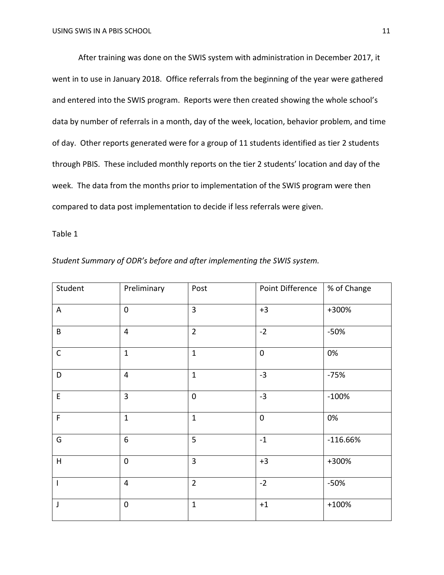After training was done on the SWIS system with administration in December 2017, it went in to use in January 2018. Office referrals from the beginning of the year were gathered and entered into the SWIS program. Reports were then created showing the whole school's data by number of referrals in a month, day of the week, location, behavior problem, and time of day. Other reports generated were for a group of 11 students identified as tier 2 students through PBIS. These included monthly reports on the tier 2 students' location and day of the week. The data from the months prior to implementation of the SWIS program were then compared to data post implementation to decide if less referrals were given.

## Table 1

| Student Summary of ODR's before and after implementing the SWIS system. |  |  |  |  |
|-------------------------------------------------------------------------|--|--|--|--|
|-------------------------------------------------------------------------|--|--|--|--|

| Student                   | Preliminary             | Post           | Point Difference | % of Change |
|---------------------------|-------------------------|----------------|------------------|-------------|
| A                         | $\mathbf 0$             | $\overline{3}$ | $+3$             | +300%       |
| B                         | $\overline{4}$          | $\overline{2}$ | $-2$             | $-50%$      |
| $\mathsf C$               | $\mathbf{1}$            | $\mathbf{1}$   | $\mathbf 0$      | 0%          |
| D                         | $\overline{\mathbf{4}}$ | $\mathbf{1}$   | $-3$             | $-75%$      |
| $\mathsf E$               | $\overline{3}$          | $\mathbf 0$    | $-3$             | $-100%$     |
| $\mathsf F$               | $\mathbf{1}$            | $\mathbf{1}$   | $\mathbf 0$      | 0%          |
| G                         | $\boldsymbol{6}$        | 5              | $-1$             | $-116.66%$  |
| $\boldsymbol{\mathsf{H}}$ | $\mathbf 0$             | 3              | $+3$             | +300%       |
| $\overline{\phantom{a}}$  | $\overline{4}$          | $\overline{2}$ | $-2$             | $-50%$      |
| J                         | $\pmb{0}$               | $\mathbf{1}$   | $+1$             | $+100%$     |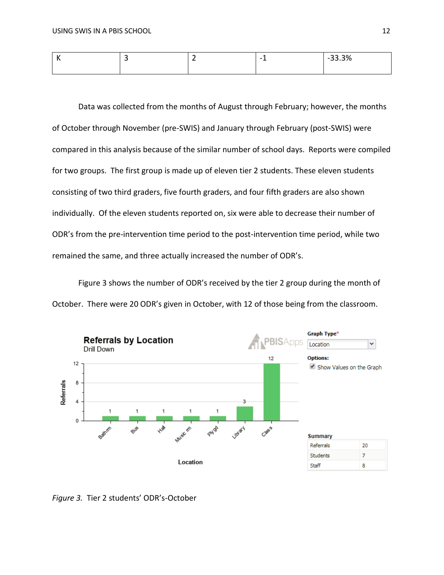| . . | . . | -<br>- | -33.3%<br>- - |
|-----|-----|--------|---------------|
|     |     |        |               |

Data was collected from the months of August through February; however, the months of October through November (pre-SWIS) and January through February (post-SWIS) were compared in this analysis because of the similar number of school days. Reports were compiled for two groups. The first group is made up of eleven tier 2 students. These eleven students consisting of two third graders, five fourth graders, and four fifth graders are also shown individually. Of the eleven students reported on, six were able to decrease their number of ODR's from the pre-intervention time period to the post-intervention time period, while two remained the same, and three actually increased the number of ODR's.

Figure 3 shows the number of ODR's received by the tier 2 group during the month of October. There were 20 ODR's given in October, with 12 of those being from the classroom.



*Figure 3.* Tier 2 students' ODR's-October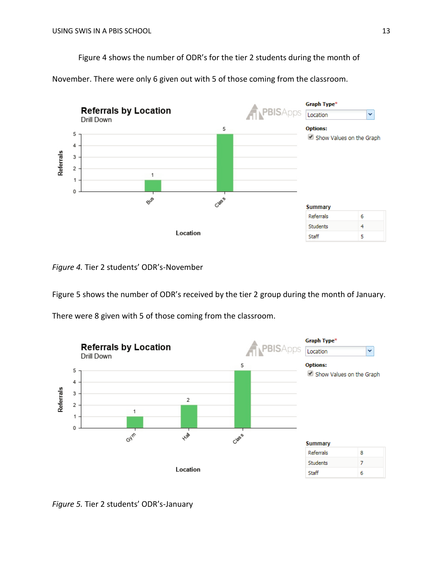Figure 4 shows the number of ODR's for the tier 2 students during the month of

November. There were only 6 given out with 5 of those coming from the classroom.



*Figure 4.* Tier 2 students' ODR's-November

Figure 5 shows the number of ODR's received by the tier 2 group during the month of January.

There were 8 given with 5 of those coming from the classroom.



*Figure 5.* Tier 2 students' ODR's-January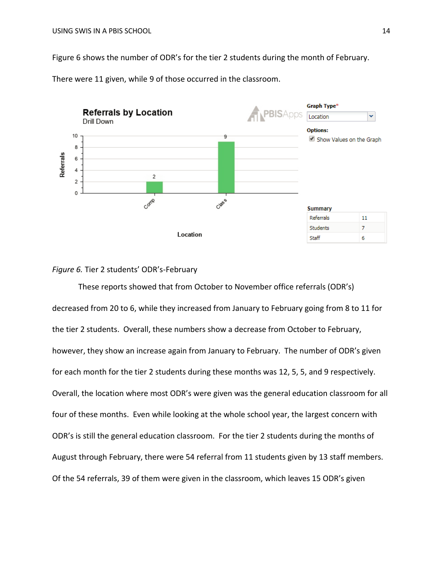Figure 6 shows the number of ODR's for the tier 2 students during the month of February.



There were 11 given, while 9 of those occurred in the classroom.

### *Figure 6.* Tier 2 students' ODR's-February

These reports showed that from October to November office referrals (ODR's) decreased from 20 to 6, while they increased from January to February going from 8 to 11 for the tier 2 students. Overall, these numbers show a decrease from October to February, however, they show an increase again from January to February. The number of ODR's given for each month for the tier 2 students during these months was 12, 5, 5, and 9 respectively. Overall, the location where most ODR's were given was the general education classroom for all four of these months. Even while looking at the whole school year, the largest concern with ODR's is still the general education classroom. For the tier 2 students during the months of August through February, there were 54 referral from 11 students given by 13 staff members. Of the 54 referrals, 39 of them were given in the classroom, which leaves 15 ODR's given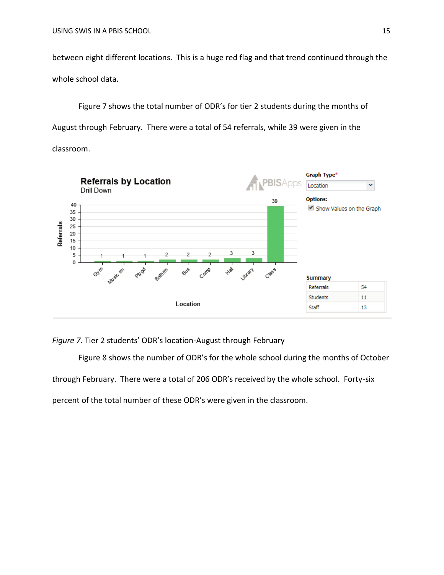between eight different locations. This is a huge red flag and that trend continued through the whole school data.

Figure 7 shows the total number of ODR's for tier 2 students during the months of August through February. There were a total of 54 referrals, while 39 were given in the classroom.



*Figure 7.* Tier 2 students' ODR's location-August through February

Figure 8 shows the number of ODR's for the whole school during the months of October through February. There were a total of 206 ODR's received by the whole school. Forty-six percent of the total number of these ODR's were given in the classroom.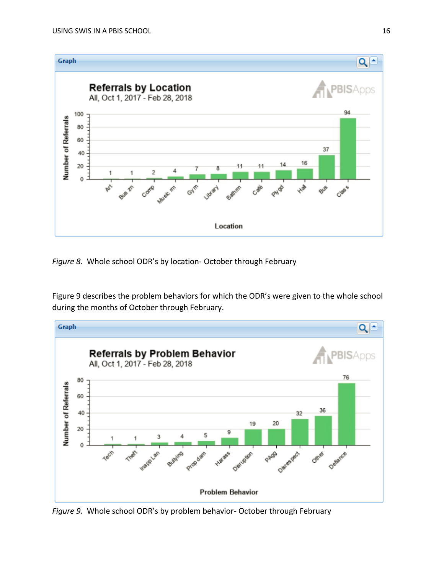

*Figure 8.* Whole school ODR's by location- October through February

Figure 9 describes the problem behaviors for which the ODR's were given to the whole school during the months of October through February.



*Figure 9.* Whole school ODR's by problem behavior- October through February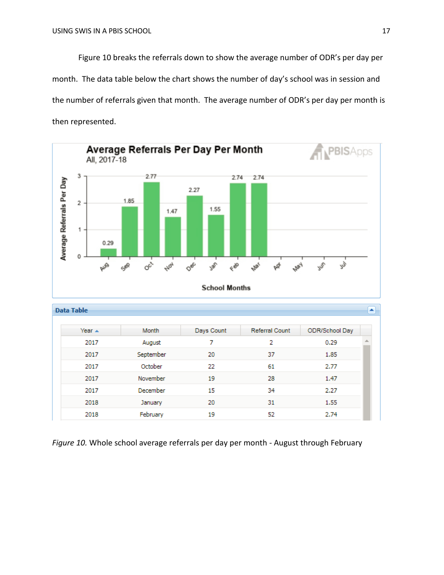Figure 10 breaks the referrals down to show the average number of ODR's per day per month. The data table below the chart shows the number of day's school was in session and the number of referrals given that month. The average number of ODR's per day per month is then represented.



*Figure 10.* Whole school average referrals per day per month - August through February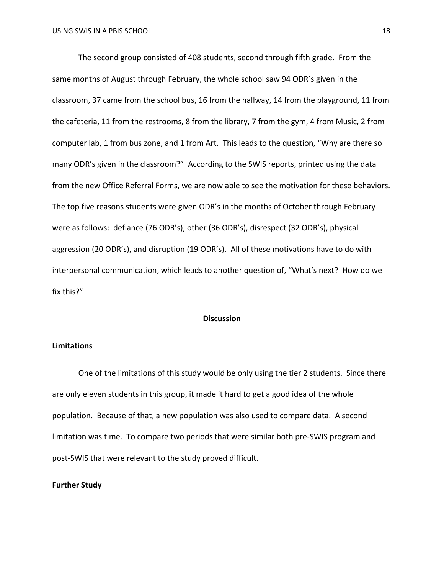The second group consisted of 408 students, second through fifth grade. From the same months of August through February, the whole school saw 94 ODR's given in the classroom, 37 came from the school bus, 16 from the hallway, 14 from the playground, 11 from the cafeteria, 11 from the restrooms, 8 from the library, 7 from the gym, 4 from Music, 2 from computer lab, 1 from bus zone, and 1 from Art. This leads to the question, "Why are there so many ODR's given in the classroom?" According to the SWIS reports, printed using the data from the new Office Referral Forms, we are now able to see the motivation for these behaviors. The top five reasons students were given ODR's in the months of October through February were as follows: defiance (76 ODR's), other (36 ODR's), disrespect (32 ODR's), physical aggression (20 ODR's), and disruption (19 ODR's). All of these motivations have to do with interpersonal communication, which leads to another question of, "What's next? How do we fix this?"

#### **Discussion**

#### **Limitations**

One of the limitations of this study would be only using the tier 2 students. Since there are only eleven students in this group, it made it hard to get a good idea of the whole population. Because of that, a new population was also used to compare data. A second limitation was time. To compare two periods that were similar both pre-SWIS program and post-SWIS that were relevant to the study proved difficult.

#### **Further Study**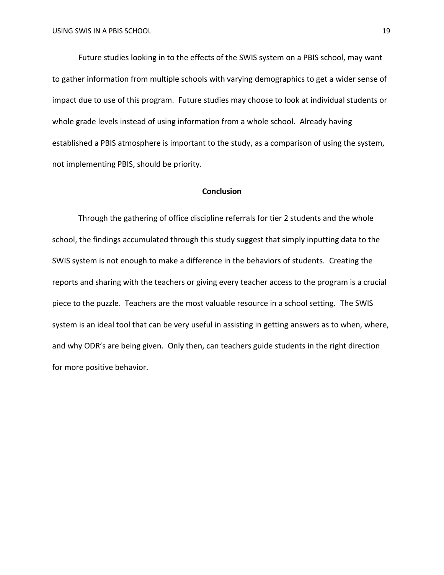Future studies looking in to the effects of the SWIS system on a PBIS school, may want to gather information from multiple schools with varying demographics to get a wider sense of impact due to use of this program. Future studies may choose to look at individual students or whole grade levels instead of using information from a whole school. Already having established a PBIS atmosphere is important to the study, as a comparison of using the system, not implementing PBIS, should be priority.

#### **Conclusion**

Through the gathering of office discipline referrals for tier 2 students and the whole school, the findings accumulated through this study suggest that simply inputting data to the SWIS system is not enough to make a difference in the behaviors of students. Creating the reports and sharing with the teachers or giving every teacher access to the program is a crucial piece to the puzzle. Teachers are the most valuable resource in a school setting. The SWIS system is an ideal tool that can be very useful in assisting in getting answers as to when, where, and why ODR's are being given. Only then, can teachers guide students in the right direction for more positive behavior.